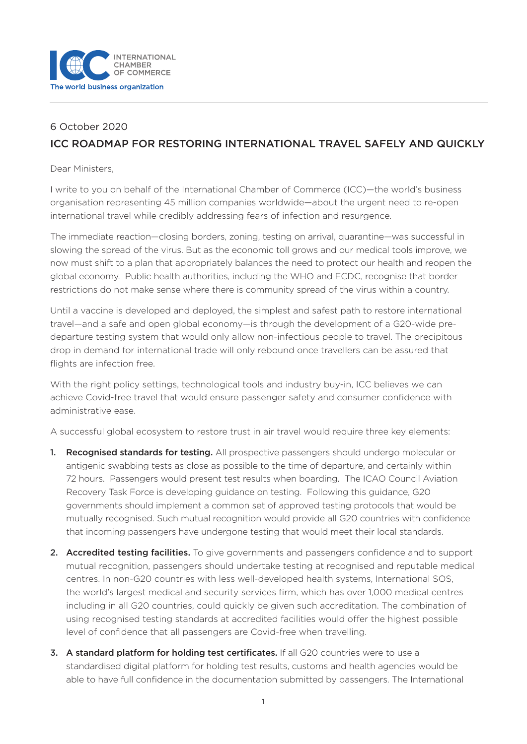

## 6 October 2020 ICC ROADMAP FOR RESTORING INTERNATIONAL TRAVEL SAFELY AND QUICKLY

Dear Ministers,

I write to you on behalf of the International Chamber of Commerce (ICC)—the world's business organisation representing 45 million companies worldwide—about the urgent need to re-open international travel while credibly addressing fears of infection and resurgence.

The immediate reaction—closing borders, zoning, testing on arrival, quarantine—was successful in slowing the spread of the virus. But as the economic toll grows and our medical tools improve, we now must shift to a plan that appropriately balances the need to protect our health and reopen the global economy. Public health authorities, including the WHO and ECDC, recognise that border restrictions do not make sense where there is community spread of the virus within a country.

Until a vaccine is developed and deployed, the simplest and safest path to restore international travel—and a safe and open global economy—is through the development of a G20-wide predeparture testing system that would only allow non-infectious people to travel. The precipitous drop in demand for international trade will only rebound once travellers can be assured that flights are infection free.

With the right policy settings, technological tools and industry buy-in, ICC believes we can achieve Covid-free travel that would ensure passenger safety and consumer confidence with administrative ease.

A successful global ecosystem to restore trust in air travel would require three key elements:

- 1. Recognised standards for testing. All prospective passengers should undergo molecular or antigenic swabbing tests as close as possible to the time of departure, and certainly within 72 hours. Passengers would present test results when boarding. The ICAO Council Aviation Recovery Task Force is developing guidance on testing. Following this guidance, G20 governments should implement a common set of approved testing protocols that would be mutually recognised. Such mutual recognition would provide all G20 countries with confidence that incoming passengers have undergone testing that would meet their local standards.
- 2. Accredited testing facilities. To give governments and passengers confidence and to support mutual recognition, passengers should undertake testing at recognised and reputable medical centres. In non-G20 countries with less well-developed health systems, International SOS, the world's largest medical and security services firm, which has over 1,000 medical centres including in all G20 countries, could quickly be given such accreditation. The combination of using recognised testing standards at accredited facilities would offer the highest possible level of confidence that all passengers are Covid-free when travelling.
- 3. A standard platform for holding test certificates. If all G20 countries were to use a standardised digital platform for holding test results, customs and health agencies would be able to have full confidence in the documentation submitted by passengers. The International